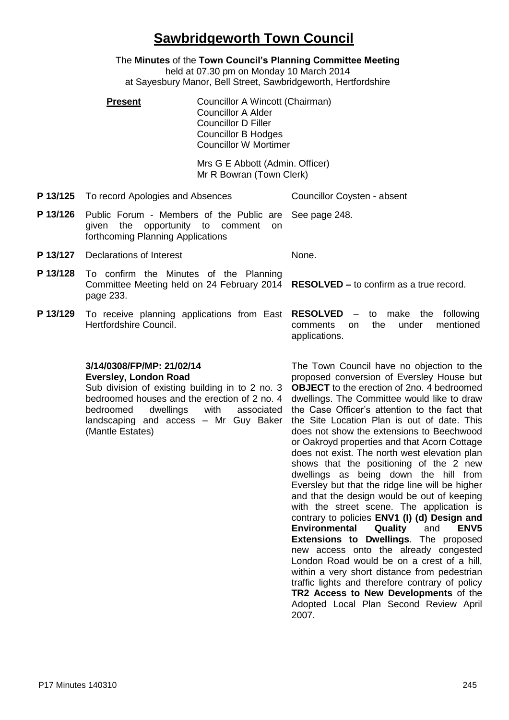## **Sawbridgeworth Town Council**

The **Minutes** of the **Town Council's Planning Committee Meeting** held at 07.30 pm on Monday 10 March 2014 at Sayesbury Manor, Bell Street, Sawbridgeworth, Hertfordshire

**Present Councillor A Wincott (Chairman)** Councillor A Alder Councillor D Filler Councillor B Hodges Councillor W Mortimer

> Mrs G E Abbott (Admin. Officer) Mr R Bowran (Town Clerk)

**P 13/125** To record Apologies and Absences Councillor Coysten - absent

- **P 13/126** Public Forum Members of the Public are given the opportunity to comment on forthcoming Planning Applications See page 248.
- **P 13/127** Declarations of Interest None.

- **P 13/128** To confirm the Minutes of the Planning Committee Meeting held on 24 February 2014 page 233. **RESOLVED –** to confirm as a true record.
- **P 13/129** To receive planning applications from East RESOLVED -Hertfordshire Council.

to make the following comments on the under mentioned applications.

#### **3/14/0308/FP/MP: 21/02/14 Eversley, London Road**

Sub division of existing building in to 2 no. 3 bedroomed houses and the erection of 2 no. 4 bedroomed dwellings with associated landscaping and access – Mr Guy Baker (Mantle Estates)

The Town Council have no objection to the proposed conversion of Eversley House but **OBJECT** to the erection of 2no. 4 bedroomed dwellings. The Committee would like to draw the Case Officer's attention to the fact that the Site Location Plan is out of date. This does not show the extensions to Beechwood or Oakroyd properties and that Acorn Cottage does not exist. The north west elevation plan shows that the positioning of the 2 new dwellings as being down the hill from Eversley but that the ridge line will be higher and that the design would be out of keeping with the street scene. The application is contrary to policies **ENV1 (I) (d) Design and Environmental Quality** and **ENV5 Extensions to Dwellings**. The proposed new access onto the already congested London Road would be on a crest of a hill, within a very short distance from pedestrian traffic lights and therefore contrary of policy **TR2 Access to New Developments** of the Adopted Local Plan Second Review April 2007.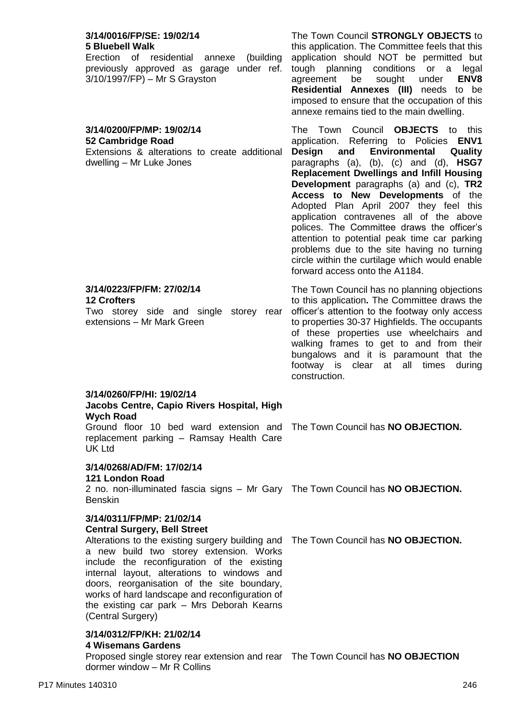# Erection of residential annexe (building

previously approved as garage under ref. 3/10/1997/FP) – Mr S Grayston

#### **3/14/0200/FP/MP: 19/02/14 52 Cambridge Road**

Extensions & alterations to create additional dwelling – Mr Luke Jones

agreement be sought under **ENV8 Residential Annexes (III)** needs to be imposed to ensure that the occupation of this annexe remains tied to the main dwelling. The Town Council **OBJECTS** to this application. Referring to Policies **ENV1 Design and Environmental Quality**

The Town Council **STRONGLY OBJECTS** to this application. The Committee feels that this application should NOT be permitted but tough planning conditions or a legal

paragraphs (a), (b), (c) and (d), **HSG7 Replacement Dwellings and Infill Housing Development** paragraphs (a) and (c), **TR2 Access to New Developments** of the Adopted Plan April 2007 they feel this application contravenes all of the above polices. The Committee draws the officer's attention to potential peak time car parking problems due to the site having no turning circle within the curtilage which would enable forward access onto the A1184.

The Town Council has no planning objections to this application**.** The Committee draws the officer's attention to the footway only access to properties 30-37 Highfields. The occupants of these properties use wheelchairs and walking frames to get to and from their bungalows and it is paramount that the footway is clear at all times during construction.

## **3/14/0260/FP/HI: 19/02/14**

**3/14/0223/FP/FM: 27/02/14**

extensions – Mr Mark Green

**12 Crofters**

#### **Jacobs Centre, Capio Rivers Hospital, High Wych Road**

Two storey side and single storey rear

Ground floor 10 bed ward extension and The Town Council has **NO OBJECTION.** replacement parking – Ramsay Health Care UK Ltd

## **3/14/0268/AD/FM: 17/02/14**

## **121 London Road**

2 no. non-illuminated fascia signs – Mr Gary The Town Council has **NO OBJECTION.** Benskin

## **3/14/0311/FP/MP: 21/02/14**

## **Central Surgery, Bell Street**

Alterations to the existing surgery building and The Town Council has **NO OBJECTION.** a new build two storey extension. Works include the reconfiguration of the existing internal layout, alterations to windows and doors, reorganisation of the site boundary, works of hard landscape and reconfiguration of

the existing car park – Mrs Deborah Kearns (Central Surgery)

#### **3/14/0312/FP/KH: 21/02/14 4 Wisemans Gardens**

Proposed single storey rear extension and rear The Town Council has **NO OBJECTION**dormer window – Mr R Collins

#### **3/14/0016/FP/SE: 19/02/14 5 Bluebell Walk**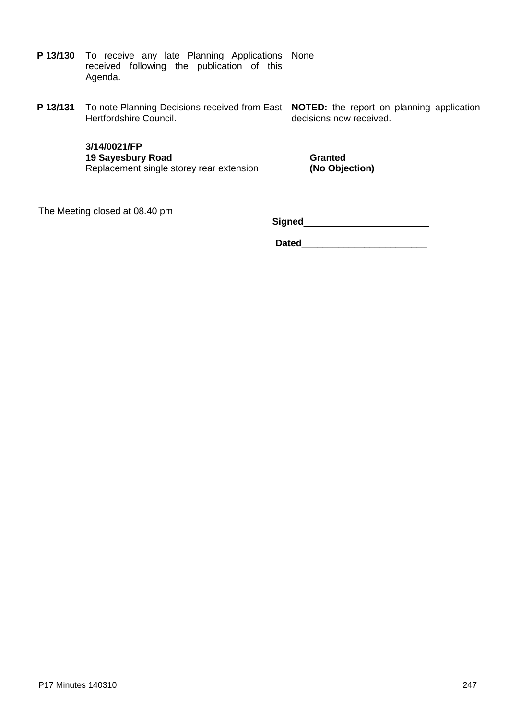- **P 13/130** To receive any late Planning Applications None received following the publication of this Agenda.
- **P 13/131** To note Planning Decisions received from East **NOTED:** the report on planning application Hertfordshire Council.

decisions now received.

**3/14/0021/FP 19 Sayesbury Road** Replacement single storey rear extension

**Granted (No Objection)**

The Meeting closed at 08.40 pm

**Signed**\_\_\_\_\_\_\_\_\_\_\_\_\_\_\_\_\_\_\_\_\_\_\_\_

**Dated**\_\_\_\_\_\_\_\_\_\_\_\_\_\_\_\_\_\_\_\_\_\_\_\_